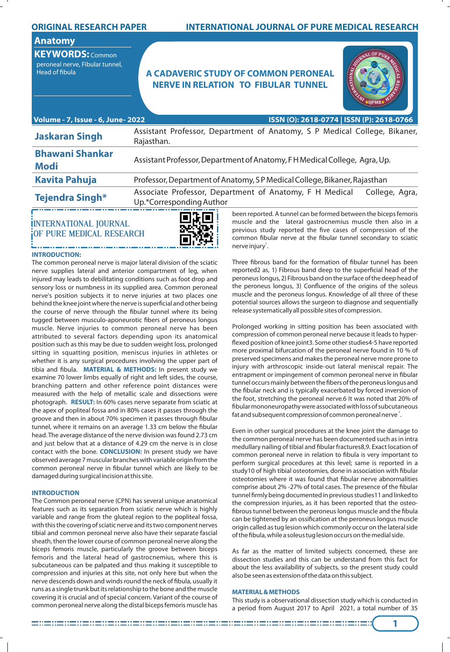### **ORIGINAL RESEARCH PAPER**

# **INTERNATIONAL JOURNAL OF PURE MEDICAL RESEARCH**

## **Anatomy**

**KEYWORDS:** Common peroneal nerve, Fibular tunnel,

# **A CADAVERIC STUDY OF COMMON PERONEAL A CADAVERIC STUDY OF COMMON PERONEAL NERVE IN RELATION TO FIBULAR TUNNEL**



| Volume - 7, Issue - 6, June- 2022     | ISSN (O): 2618-0774   ISSN (P): 2618-0766                                                             |  |  |  |  |  |  |  |  |
|---------------------------------------|-------------------------------------------------------------------------------------------------------|--|--|--|--|--|--|--|--|
| <b>Jaskaran Singh</b>                 | Assistant Professor, Department of Anatomy, S P Medical College, Bikaner,<br>Rajasthan.               |  |  |  |  |  |  |  |  |
| <b>Bhawani Shankar</b><br><b>Modi</b> | Assistant Professor, Department of Anatomy, FH Medical College, Agra, Up.                             |  |  |  |  |  |  |  |  |
| <b>Kavita Pahuja</b>                  | Professor, Department of Anatomy, SP Medical College, Bikaner, Rajasthan                              |  |  |  |  |  |  |  |  |
| <b>Tejendra Singh*</b>                | Associate Professor, Department of Anatomy, F H Medical<br>College, Agra,<br>Up.*Corresponding Author |  |  |  |  |  |  |  |  |
|                                       | been reported. A tunnel can be formed between the biceps femoris<br>errei                             |  |  |  |  |  |  |  |  |

# **INTERNATIONAL JOURNAL OF PURE MEDICAL RESEARCH**



#### **INTRODUCTION:**

The common peroneal nerve is major lateral division of the sciatic nerve supplies lateral and anterior compartment of leg, when injured may leads to debilitating conditions such as foot drop and sensory loss or numbness in its supplied area. Common peroneal nerve's position subjects it to nerve injuries at two places one behind the knee joint where the nerve is superficial and other being the course of nerve through the fibular tunnel where its being tugged between musculo-aponeurotic fibers of peroneus longus muscle. Nerve injuries to common peroneal nerve has been attributed to several factors depending upon its anatomical position such as this may be due to sudden weight loss, prolonged sitting in squatting position, meniscus injuries in athletes or whether it is any surgical procedures involving the upper part of tibia and fibula. **MATERIAL & METHODS:** In present study we examine 70 lower limbs equally of right and left sides, the course, branching pattern and other reference point distances were measured with the help of metallic scale and dissections were photograph. **RESULT:** In 60% cases nerve separate from sciatic at the apex of popliteal fossa and in 80% cases it passes through the groove and then in about 70% specimen it passes through fibular tunnel, where it remains on an average 1.33 cm below the fibular head. The average distance of the nerve division was found 2.73 cm and just below that at a distance of 4.29 cm the nerve is in close contact with the bone. **CONCLUSION:** In present study we have observed average 7 muscular branches with variable origin from the common peroneal nerve in fibular tunnel which are likely to be damaged during surgical incision at this site.

#### **INTRODUCTION**

The Common peroneal nerve (CPN) has several unique anatomical features such as its separation from sciatic nerve which is highly variable and range from the gluteal region to the popliteal fossa, with this the covering of sciatic nerve and its two component nerves tibial and common peroneal nerve also have their separate fascial sheath, then the lower course of common peroneal nerve along the biceps femoris muscle, particularly the groove between biceps femoris and the lateral head of gastrocnemius, where this is subcutaneous can be palpated and thus making it susceptible to compression and injuries at this site, not only here but when the nerve descends down and winds round the neck of fibula, usually it runs as a single trunk but its relationship to the bone and the muscle covering it is crucial and of special concern. Variant of the course of common peroneal nerve along the distal biceps femoris muscle has

been reported. A tunnel can be formed between the biceps femoris muscle and the lateral gastrocnemius muscle then also in a previous study reported the five cases of compression of the common fibular nerve at the fibular tunnel secondary to sciatic nerve injury<sup>1</sup>.

Three fibrous band for the formation of fibular tunnel has been reported2 as, 1) Fibrous band deep to the superficial head of the peroneus longus, 2) Fibrous band on the surface of the deep head of the peroneus longus, 3) Confluence of the origins of the soleus muscle and the peroneus longus. Knowledge of all three of these potential sources allows the surgeon to diagnose and sequentially release systematically all possible sites of compression.

Prolonged working in sitting position has been associated with compression of common peroneal nerve because it leads to hyper flexed position of knee joint3. Some other studies4-5 have reported more proximal bifurcation of the peroneal nerve found in 10 % of preserved specimens and makes the peroneal nerve more prone to injury with arthroscopic inside-out lateral meniscal repair. The entrapment or impingement of common peroneal nerve in fibular tunnel occurs mainly between the fibers of the peroneus longus and the fibular neck and is typically exacerbated by forced inversion of the foot, stretching the peroneal nerve.6 It was noted that 20% of bular mononeuropathy were associated with loss of subcutaneous fat and subsequent compression of common peroneal nerve  $7$ .

Even in other surgical procedures at the knee joint the damage to the common peroneal nerve has been documented such as in intra medullary nailing of tibial and fibular fractures8,9. Exact location of common peroneal nerve in relation to fibula is very important to perform surgical procedures at this level; same is reported in a study10 of high tibial osteotomies, done in association with fibular osteotomies where it was found that fibular nerve abnormalities comprise about 2% -27% of total cases. The presence of the fibular tunnel firmly being documented in previous studies11 and linked to the compression injuries, as it has been reported that the osteo fibrous tunnel between the peroneus longus muscle and the fibula can be tightened by an ossification at the peroneus longus muscle origin called as tug lesion which commonly occur on the lateral side of the fibula, while a soleus tug lesion occurs on the medial side.

As far as the matter of limited subjects concerned, these are dissection studies and this can be understand from this fact for about the less availability of subjects, so the present study could also be seen as extension of the data on this subject.

#### **MATERIAL & METHODS**

This study is a observational dissection study which is conducted in a period from August 2017 to April 2021, a total number of 35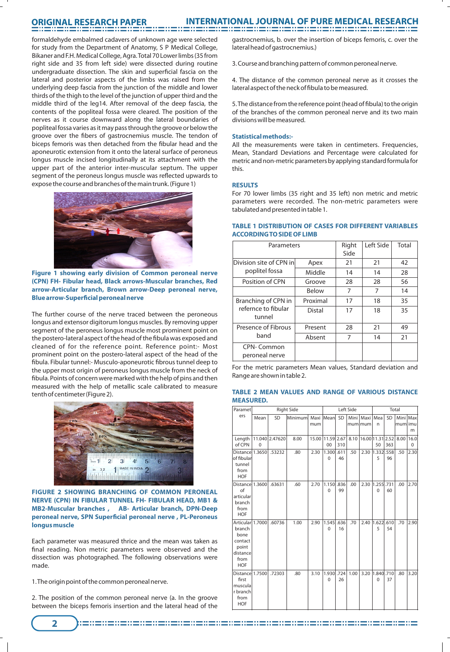# **ORIGINAL RESEARCH PAPER**

formaldehyde embalmed cadavers of unknown age were selected for study from the Department of Anatomy, S P Medical College, Bikaner and F.H. Medical College, Agra. Total 70 Lower limbs (35 from right side and 35 from left side) were dissected during routine undergraduate dissection. The skin and superficial fascia on the lateral and posterior aspects of the limbs was raised from the underlying deep fascia from the junction of the middle and lower thirds of the thigh to the level of the junction of upper third and the middle third of the leg14. After removal of the deep fascia, the contents of the popliteal fossa were cleared. The position of the nerves as it course downward along the lateral boundaries of popliteal fossa varies as it may pass through the groove or below the groove over the fibers of gastrocnemius muscle. The tendon of biceps femoris was then detached from the fibular head and the aponeurotic extension from it onto the lateral surface of peroneus longus muscle incised longitudinally at its attachment with the upper part of the anterior inter-muscular septum. The upper segment of the peroneus longus muscle was reflected upwards to expose the course and branches of the main trunk. (Figure 1)



**Figure 1 showing early division of Common peroneal nerve (CPN) FH- Fibular head, Black arrows-Muscular branches, Red arrow-Articular branch, Brown arrow-Deep peroneal nerve, Blue arrow-Superficial peroneal nerve** 

The further course of the nerve traced between the peroneous longus and extensor digitorum longus muscles. By removing upper segment of the peroneus longus muscle most prominent point on the postero-lateral aspect of the head of the fibula was exposed and cleaned of for the reference point. Reference point:- Most prominent point on the postero-lateral aspect of the head of the fibula. Fibular tunnel:- Musculo-aponeurotic fibrous tunnel deep to the upper most origin of peroneus longus muscle from the neck of bula. Points of concern were marked with the help of pins and then measured with the help of metallic scale calibrated to measure tenth of centimeter (Figure 2).



**FIGURE 2 SHOWING BRANCHING OF COMMON PERONEAL NERVE (CPN) IN FIBULAR TUNNEL FH- FIBULAR HEAD, MB1 & MB2-Muscular branches , AB- Articular branch, DPN-Deep**  peroneal nerve, SPN Superficial peroneal nerve, PL-Peroneus **longus muscle**

Each parameter was measured thrice and the mean was taken as final reading. Non metric parameters were observed and the dissection was photographed. The following observations were made.

1. The origin point of the common peroneal nerve.

**2**

2. The position of the common peroneal nerve (a. In the groove between the biceps femoris insertion and the lateral head of the

gastrocnemius, b. over the insertion of biceps femoris, c. over the lateral head of gastrocnemius.)

3. Course and branching pattern of common peroneal nerve.

4. The distance of the common peroneal nerve as it crosses the lateral aspect of the neck of fibula to be measured.

5. The distance from the reference point (head of fibula) to the origin of the branches of the common peroneal nerve and its two main divisions will be measured.

#### **Statistical methods:-**

All the measurements were taken in centimeters. Frequencies, Mean, Standard Deviations and Percentage were calculated for metric and non-metric parameters by applying standard formula for this.

#### **RESULTS**

For 70 lower limbs (35 right and 35 left) non metric and metric parameters were recorded. The non-metric parameters were .<br>tabulated and presented in table 1.

| Parameters                    |          | Right<br>Side | Left Side | Total |
|-------------------------------|----------|---------------|-----------|-------|
| Division site of CPN in       | Apex     | 21            | 21        | 42    |
| poplitel fossa                | Middle   | 14            | 14        | 28    |
| Position of CPN               | Groove   | 28            | 28        | 56    |
|                               | Below    | 7             | 7         | 14    |
| Branching of CPN in           | Proximal | 17            | 18        | 35    |
| refernce to fibular<br>tunnel | Distal   | 17            | 18        | 35    |
| Presence of Fibrous           | Present  | 28            | 21        | 49    |
| band                          | Absent   | 7             | 14        | 21    |
| CPN-Common<br>peroneal nerve  |          |               |           |       |

#### **TABLE 1 DISTRIBUTION OF CASES FOR DIFFERENT VARIABLES ACCORDING TO SIDE OF LIMB**

For the metric parameters Mean values, Standard deviation and Range are shown in table 2.

#### **TABLE 2 MEAN VALUES AND RANGE OF VARIOUS DISTANCE MEASURED.**

| Paramet                                                                                  | <b>Right Side</b> |                |          |                  | Left Side            |            |      |                              | Total                 |            |                     |                  |
|------------------------------------------------------------------------------------------|-------------------|----------------|----------|------------------|----------------------|------------|------|------------------------------|-----------------------|------------|---------------------|------------------|
| ers                                                                                      | Mean              | <b>SD</b>      | Minimuml | mum              | Maxi Meanl           | SD         |      | Mini   Maxi   Mea<br>mumlmum | n                     | SD         | Mini Max<br>mumlimu | m                |
| Length<br>of CPN                                                                         | $\Omega$          | 11.040 2.47620 | 8.00     | 15.00 11.59 2.67 | 00                   | 310        |      | 8.10 16.00 11.31 2.52        | 50                    | 363        | 8.00                | 16.0<br>$\Omega$ |
| Distance 1.3650 53232<br>of fibular<br>tunnel<br>from<br><b>HOF</b>                      |                   |                | .80      | 2.30             | 1.300<br>$\Omega$    | .611<br>46 | .50  |                              | 2.30 1.332 .558<br>5  | 96         | .50                 | 2.30             |
| Distance 1.3600<br>$\alpha$ f<br>articular<br>branch<br>from<br><b>HOF</b>               |                   | .63631         | .60      | 2.70             | 1.150<br>$\Omega$    | .836<br>99 | .00  | 2.30                         | 1.255.731<br>$\Omega$ | 60         | .00                 | 2.70             |
| Articular 1.7000<br>branch<br>bone<br>contact<br>point<br>distance<br>from<br><b>HOF</b> |                   | .60736         | 1.00     | 2.90             | 1.545<br>$\Omega$    | .636<br>16 | .70  | 2.40                         | 1.622<br>5            | .610<br>54 | .70                 | 2.90             |
| Distance 1.7500<br>first<br>muscula<br>r branch<br>from<br><b>HOF</b>                    |                   | .72303         | .80      | 3.10             | 1.930<br>$\mathbf 0$ | .724<br>26 | 1.00 | 3.20                         | 1.840.710<br>0        | 37         | .80                 | 3.20             |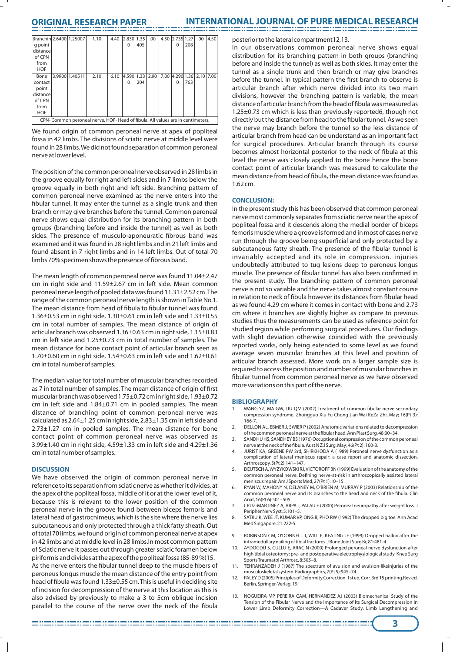# **ORIGINAL RESEARCH PAPER INTERNATIONAL JOURNAL OF PURE MEDICAL RESEARCH**

| Branchin 2.6400 1.25007 |                                                                                 |                | 1.10 | 4.40 | 2.830 1.35 |     | .00  |  | 4.50 2.735 1.27           |     | .00 | 4.50 |
|-------------------------|---------------------------------------------------------------------------------|----------------|------|------|------------|-----|------|--|---------------------------|-----|-----|------|
| q point                 |                                                                                 |                |      |      | $\Omega$   | 405 |      |  | $\Omega$                  | 208 |     |      |
| distance                |                                                                                 |                |      |      |            |     |      |  |                           |     |     |      |
| of CPN                  |                                                                                 |                |      |      |            |     |      |  |                           |     |     |      |
| from                    |                                                                                 |                |      |      |            |     |      |  |                           |     |     |      |
| <b>HOF</b>              |                                                                                 |                |      |      |            |     |      |  |                           |     |     |      |
| Bone                    |                                                                                 | 3.9900 1.40511 | 2.10 | 6.10 | 4.590 1.33 |     | 2.90 |  | 7.00 4.290 1.36 2.10 7.00 |     |     |      |
| contact                 |                                                                                 |                |      |      | O          | 204 |      |  | $\Omega$                  | 763 |     |      |
| point                   |                                                                                 |                |      |      |            |     |      |  |                           |     |     |      |
| distance                |                                                                                 |                |      |      |            |     |      |  |                           |     |     |      |
| of CPN                  |                                                                                 |                |      |      |            |     |      |  |                           |     |     |      |
| from                    |                                                                                 |                |      |      |            |     |      |  |                           |     |     |      |
| <b>HOF</b>              |                                                                                 |                |      |      |            |     |      |  |                           |     |     |      |
|                         | CPN- Common peroneal nerve, HOF- Head of fibula. All values are in centimeters. |                |      |      |            |     |      |  |                           |     |     |      |

We found origin of common peroneal nerve at apex of popliteal fossa in 42 limbs. The divisions of sciatic nerve at middle level were found in 28 limbs. We did not found separation of common peroneal nerve at lower level.

The position of the common peroneal nerve observed in 28 limbs in the groove equally for right and left sides and in 7 limbs below the groove equally in both right and left side. Branching pattern of common peroneal nerve examined as the nerve enters into the bular tunnel. It may enter the tunnel as a single trunk and then branch or may give branches before the tunnel. Common peroneal nerve shows equal distribution for its branching pattern in both groups (branching before and inside the tunnel) as well as both sides. The presence of musculo-aponeuratic fibrous band was examined and it was found in 28 right limbs and in 21 left limbs and found absent in 7 right limbs and in 14 left limbs. Out of total 70 limbs 70% specimen shows the presence of fibrous band.

The mean length of common peroneal nerve was found 11.04±2.47 cm in right side and 11.59±2.67 cm in left side. Mean common peroneal nerve length of pooled data was found 11.31±2.52 cm. The range of the common peroneal nerve length is shown in Table No.1. The mean distance from head of fibula to fibular tunnel was found 1.36±0.53 cm in right side, 1.30±0.61 cm in left side and 1.33±0.55 cm in total number of samples. The mean distance of origin of articular branch was observed 1.36±0.63 cm in right side, 1.15±0.83 cm in left side and 1.25±0.73 cm in total number of samples. The mean distance for bone contact point of articular branch seen as 1.70±0.60 cm in right side, 1.54±0.63 cm in left side and 1.62±0.61 cm in total number of samples.

The median value for total number of muscular branches recorded as 7 in total number of samples. The mean distance of origin of first muscular branch was observed 1.75±0.72 cm in right side, 1.93±0.72 cm in left side and 1.84±0.71 cm in pooled samples. The mean distance of branching point of common peroneal nerve was calculated as 2.64±1.25 cm in right side, 2.83±1.35 cm in left side and 2.73±1.27 cm in pooled samples. The mean distance for bone contact point of common peroneal nerve was observed as 3.99±1.40 cm in right side, 4.59±1.33 cm in left side and 4.29±1.36 cm in total number of samples.

#### **DISCUSSION**

We have observed the origin of common peroneal nerve in reference to its separation from sciatic nerve as whether it divides, at the apex of the popliteal fossa, middle of it or at the lower level of it, because this is relevant to the lower position of the common peroneal nerve in the groove found between biceps femoris and lateral head of gastrocnimeus, which is the site where the nerve lies subcutaneous and only protected through a thick fatty sheath. Out of total 70 limbs, we found origin of common peroneal nerve at apex in 42 limbs and at middle level in 28 limbs.In most common pattern of Sciatic nerve it passes out through greater sciatic foramen below piriformis and divides at the apex of the popliteal fossa (85-89 %)15. As the nerve enters the fibular tunnel deep to the muscle fibers of peroneus longus muscle the mean distance of the entry point from head of fibula was found 1.33±0.55 cm. This is useful in deciding site of incision for decompression of the nerve at this location as this is also advised by previously to make a 3 to 5cm oblique incision parallel to the course of the nerve over the neck of the fibula

posterior to the lateral compartment12,13.

In our observations common peroneal nerve shows equal distribution for its branching pattern in both groups (branching before and inside the tunnel) as well as both sides. It may enter the tunnel as a single trunk and then branch or may give branches before the tunnel. In typical pattern the first branch to observe is articular branch after which nerve divided into its two main divisions, however the branching pattern is variable, the mean distance of articular branch from the head of fibula was measured as 1.25±0.73 cm which is less than previously reported6, though not directly but the distance from head to the fibular tunnel. As we seen the nerve may branch before the tunnel so the less distance of articular branch from head can be understand as an important fact for surgical procedures. Articular branch through its course becomes almost horizontal posterior to the neck of fibula at this level the nerve was closely applied to the bone hence the bone contact point of articular branch was measured to calculate the mean distance from head of fibula, the mean distance was found as 1.62 cm.

#### **CONCLUSION:**

In the present study this has been observed that common peroneal nerve most commonly separates from sciatic nerve near the apex of popliteal fossa and it descends along the medial border of biceps femoris muscle where a groove is formed and in most of cases nerve run through the groove being superficial and only protected by a subcutaneous fatty sheath. The presence of the fibular tunnel is invariably accepted and its role in compression. injuries undoubtedly attributed to tug lesions deep to peroneus longus muscle. The presence of fibular tunnel has also been confirmed in the present study. The branching pattern of common peroneal nerve is not so variable and the nerve takes almost constant course in relation to neck of fibula however its distances from fibular head as we found 4.29 cm where it comes in contact with bone and 2.73 cm where it branches are slightly higher as compare to previous studies thus the measurements can be used as reference point for studied region while performing surgical procedures. Our findings with slight deviation otherwise coincided with the previously reported works, only being extended to some level as we found average seven muscular branches at this level and position of articular branch assessed. More work on a larger sample size is required to access the position and number of muscular branches in bular tunnel from common peroneal nerve as we have observed more variations on this part of the nerve.

#### **BIBLIOGRAPHY**

- 1. WANG YZ, MA GW, LIU QM (2002) Treatment of common fibular nerve secondary compression syndrome. Zhongguo Xiu Fu Chong Jian Wai KeZa Zhi, May; 16(Pt 3): 166-7.
- 2. DELLON AL, EBMER J, SWIER P (2002) Anatomic variations related to decompression of the common peroneal nerve at the fibular head. Ann Plast Surg, 48:30-34.
- 3. SANDHU HS, SANDHEY BS (1976) Occuptional compression of the common peroneal nerve at the neck of the fibula. Aust N Z J Surg, May; 46(Pt 2): 160-3.
- 4. JURIST KA, GREENE PW 3rd, SHIRKHODA A (1989) Peroneal nerve dysfunction as a complication of lateral meniscus repair: a case report and anatomic dissection. Arthroscopy, 5(Pt 2):141–147.
- 5. DEUTSCH A, WYZYKOWSKI RJ, VICTOROFF BN (1999) Evaluation of the anatomy of the common peroneal nerve. Defining nerve-at-risk in arthroscopically assisted lateral meniscus repair. Am J Sports Med, 27(Pt 1):10–15.
- 6. RYAN W, MAHONY N, DELANEY M, O'BRIEN M, MURRAY P (2003) Relationship of the common peroneal nerve and its branches to the head and neck of the fibula. Clin Anat, 16(Pt 6):501–505.
- 7. CRUZ-MARTINEZ A, ARPA J, PALAU F (2000) Peroneal neuropathy after weight loss. J Peripher Nerv Syst, 5:101–5.
- 8. SATKU K, WEE JT, KUMAR VP, ONG B, PHO RW (1992) The dropped big toe. Ann Acad Med Singapore, 21:222-5.
- 9. ROBINSON CM, O'DONNELL J, WILL E, KEATING JF (1999) Dropped hallux after the intramedullary nailing of tibial fractures. J Bone Joint Surg Br, 81:481-4.
- 10. AYDOGDU S, CULLU E, ARAC N (2000) Prolonged peroneal nerve dysfunction after high tibial osteotomy: pre- and postoperative electrophysiological study. Knee Surg Sports Traumatol Arthrosc, 8:305–8.
- 11. TEHRANZADEH J (1987) The spectrum of avulsion and avulsion-likeinjuries of the musculoskeletal system. Radiographics, 7(Pt 5):945–74.
- 12. PALEY D (2005) Principles of Deformity Correction. 1st ed, Corr. 3rd 15 printing.Rev ed. Berlin, Springer-Verlag, 19.
- 13. NOGUEIRA MP, PEREIRA CAM, HERNANDEZ AJ (2003) Biomechanical Study of the Tension of the Fibular Nerve and the Importance of Its Surgical Decompression in Lower Limb Deformity Correction—A Cadaver Study. Limb Lengthening and

**3**